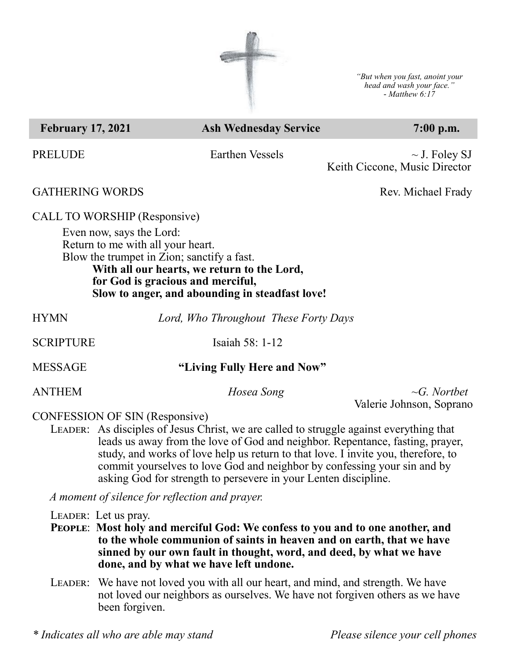

*"But when you fast, anoint your head and wash your face." - Matthew 6:17* 

#### February 17, 2021 **Ash Wednesday Service** 7:00 p.m.

#### PRELUDE Earthen Vessels  $\sim$  J. Foley SJ

Keith Ciccone, Music Director

# GATHERING WORDS Rev. Michael Frady

CALL TO WORSHIP (Responsive)

Even now, says the Lord: Return to me with all your heart. Blow the trumpet in Zion; sanctify a fast. **With all our hearts, we return to the Lord, for God is gracious and merciful, Slow to anger, and abounding in steadfast love!**

HYMN *Lord, Who Throughout These Forty Days* 

SCRIPTURE Isaiah 58: 1-12

# MESSAGE **"Living Fully Here and Now"**

ANTHEM *Hosea Song ~G. Nortbet* Valerie Johnson, Soprano

# CONFESSION OF SIN (Responsive)

LEADER: As disciples of Jesus Christ, we are called to struggle against everything that leads us away from the love of God and neighbor. Repentance, fasting, prayer, study, and works of love help us return to that love. I invite you, therefore, to commit yourselves to love God and neighbor by confessing your sin and by asking God for strength to persevere in your Lenten discipline.

 *A moment of silence for reflection and prayer.*

LEADER: Let us pray.

**People**: **Most holy and merciful God: We confess to you and to one another, and to the whole communion of saints in heaven and on earth, that we have sinned by our own fault in thought, word, and deed, by what we have done, and by what we have left undone.**

LEADER: We have not loved you with all our heart, and mind, and strength. We have not loved our neighbors as ourselves. We have not forgiven others as we have been forgiven.

*\* Indicates all who are able may stand Please silence your cell phones*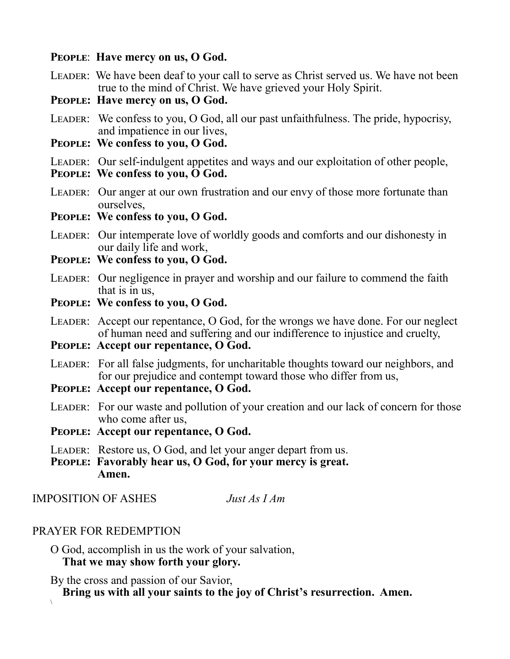#### **People**: **Have mercy on us, O God.**

LEADER: We have been deaf to your call to serve as Christ served us. We have not been true to the mind of Christ. We have grieved your Holy Spirit.

**People: Have mercy on us, O God.**

- LEADER: We confess to you, O God, all our past unfaithfulness. The pride, hypocrisy, and impatience in our lives,
- **People: We confess to you, O God.**

LEADER: Our self-indulgent appetites and ways and our exploitation of other people,

**People: We confess to you, O God.**

LEADER: Our anger at our own frustration and our envy of those more fortunate than ourselves,

**People: We confess to you, O God.**

LEADER: Our intemperate love of worldly goods and comforts and our dishonesty in our daily life and work,

**People: We confess to you, O God.**

LEADER: Our negligence in prayer and worship and our failure to commend the faith that is in us,

# **People: We confess to you, O God.**

LEADER: Accept our repentance, O God, for the wrongs we have done. For our neglect of human need and suffering and our indifference to injustice and cruelty,

#### **People: Accept our repentance, O God.**

- LEADER: For all false judgments, for uncharitable thoughts toward our neighbors, and for our prejudice and contempt toward those who differ from us,
- **People: Accept our repentance, O God.**
- LEADER: For our waste and pollution of your creation and our lack of concern for those who come after us,

**People: Accept our repentance, O God.**

LEADER: Restore us, O God, and let your anger depart from us.

PEOPLE: Favorably hear us, O God, for your mercy is great.  **Amen.**

IMPOSITION OF ASHES *Just As I Am*

# PRAYER FOR REDEMPTION

\

O God, accomplish in us the work of your salvation, **That we may show forth your glory.**

By the cross and passion of our Savior,

**Bring us with all your saints to the joy of Christ's resurrection. Amen.**